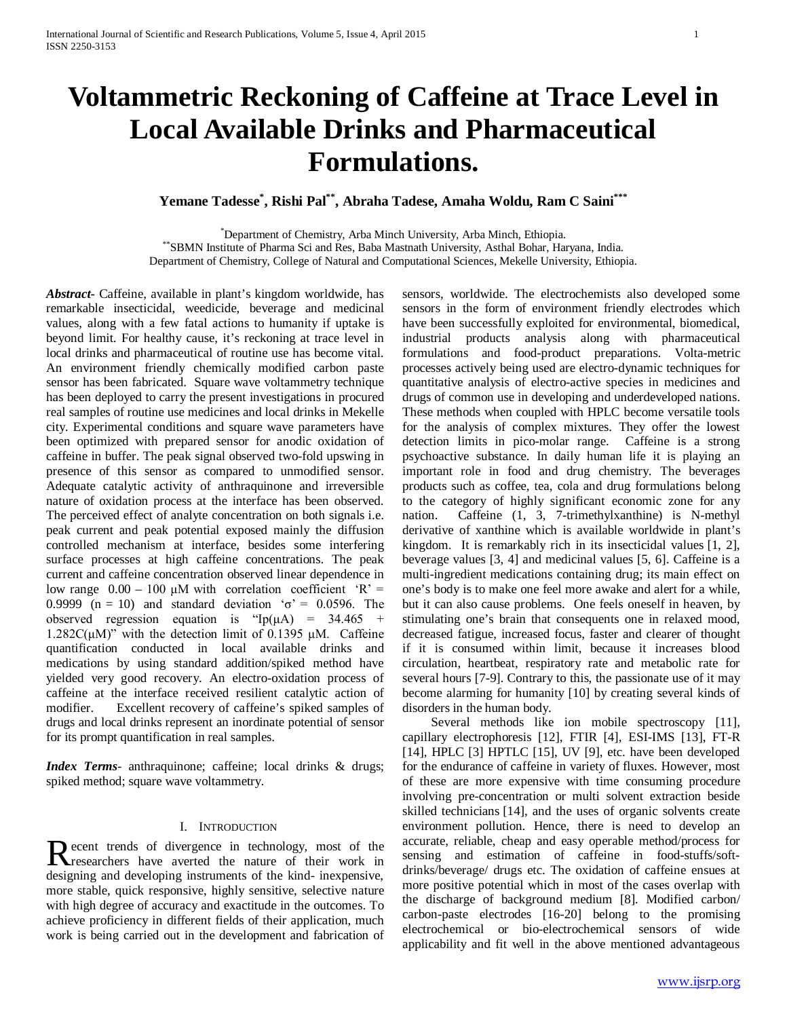# **Voltammetric Reckoning of Caffeine at Trace Level in Local Available Drinks and Pharmaceutical Formulations.**

**Yemane Tadesse\* , Rishi Pal\*\*, Abraha Tadese, Amaha Woldu, Ram C Saini\*\*\***

\*Department of Chemistry, Arba Minch University, Arba Minch, Ethiopia. \*\* SBMN Institute of Pharma Sci and Res, Baba Mastnath University, Asthal Bohar, Haryana, India. Department of Chemistry, College of Natural and Computational Sciences, Mekelle University, Ethiopia.

*Abstract***-** Caffeine, available in plant's kingdom worldwide, has remarkable insecticidal, weedicide, beverage and medicinal values, along with a few fatal actions to humanity if uptake is beyond limit. For healthy cause, it's reckoning at trace level in local drinks and pharmaceutical of routine use has become vital. An environment friendly chemically modified carbon paste sensor has been fabricated. Square wave voltammetry technique has been deployed to carry the present investigations in procured real samples of routine use medicines and local drinks in Mekelle city. Experimental conditions and square wave parameters have been optimized with prepared sensor for anodic oxidation of caffeine in buffer. The peak signal observed two-fold upswing in presence of this sensor as compared to unmodified sensor. Adequate catalytic activity of anthraquinone and irreversible nature of oxidation process at the interface has been observed. The perceived effect of analyte concentration on both signals i.e. peak current and peak potential exposed mainly the diffusion controlled mechanism at interface, besides some interfering surface processes at high caffeine concentrations. The peak current and caffeine concentration observed linear dependence in low range  $0.00 - 100 \mu M$  with correlation coefficient 'R' = 0.9999 (n = 10) and standard deviation ' $\sigma$ ' = 0.0596. The observed regression equation is "Ip( $\mu$ A) = 34.465 +  $1.282C(\mu M)$ " with the detection limit of 0.1395  $\mu$ M. Caffeine quantification conducted in local available drinks and medications by using standard addition/spiked method have yielded very good recovery. An electro-oxidation process of caffeine at the interface received resilient catalytic action of modifier. Excellent recovery of caffeine's spiked samples of drugs and local drinks represent an inordinate potential of sensor for its prompt quantification in real samples.

*Index Terms*- anthraquinone; caffeine; local drinks & drugs; spiked method; square wave voltammetry.

# I. INTRODUCTION

ecent trends of divergence in technology, most of the Recent trends of divergence in technology, most of the researchers have averted the nature of their work in designing and developing instruments of the kind- inexpensive, more stable, quick responsive, highly sensitive, selective nature with high degree of accuracy and exactitude in the outcomes. To achieve proficiency in different fields of their application, much work is being carried out in the development and fabrication of

sensors, worldwide. The electrochemists also developed some sensors in the form of environment friendly electrodes which have been successfully exploited for environmental, biomedical, industrial products analysis along with pharmaceutical formulations and food-product preparations. Volta-metric processes actively being used are electro-dynamic techniques for quantitative analysis of electro-active species in medicines and drugs of common use in developing and underdeveloped nations. These methods when coupled with HPLC become versatile tools for the analysis of complex mixtures. They offer the lowest detection limits in pico-molar range. Caffeine is a strong psychoactive substance. In daily human life it is playing an important role in food and drug chemistry. The beverages products such as coffee, tea, cola and drug formulations belong to the category of highly significant economic zone for any nation. Caffeine (1, 3, 7-trimethylxanthine) is N-methyl derivative of xanthine which is available worldwide in plant's kingdom. It is remarkably rich in its insecticidal values [1, 2], beverage values [3, 4] and medicinal values [5, 6]. Caffeine is a multi-ingredient medications containing drug; its main effect on one's body is to make one feel more awake and alert for a while, but it can also cause problems. One feels oneself in heaven, by stimulating one's brain that consequents one in relaxed mood, decreased fatigue, increased focus, faster and clearer of thought if it is consumed within limit, because it increases blood circulation, heartbeat, respiratory rate and metabolic rate for several hours [7-9]. Contrary to this, the passionate use of it may become alarming for humanity [10] by creating several kinds of disorders in the human body.

Several methods like ion mobile spectroscopy [11], capillary electrophoresis [12], FTIR [4], ESI-IMS [13], FT-R [14], HPLC [3] HPTLC [15], UV [9], etc. have been developed for the endurance of caffeine in variety of fluxes. However, most of these are more expensive with time consuming procedure involving pre-concentration or multi solvent extraction beside skilled technicians [14], and the uses of organic solvents create environment pollution. Hence, there is need to develop an accurate, reliable, cheap and easy operable method/process for sensing and estimation of caffeine in food-stuffs/softdrinks/beverage/ drugs etc. The oxidation of caffeine ensues at more positive potential which in most of the cases overlap with the discharge of background medium [8]. Modified carbon/ carbon-paste electrodes [16-20] belong to the promising electrochemical or bio-electrochemical sensors of wide applicability and fit well in the above mentioned advantageous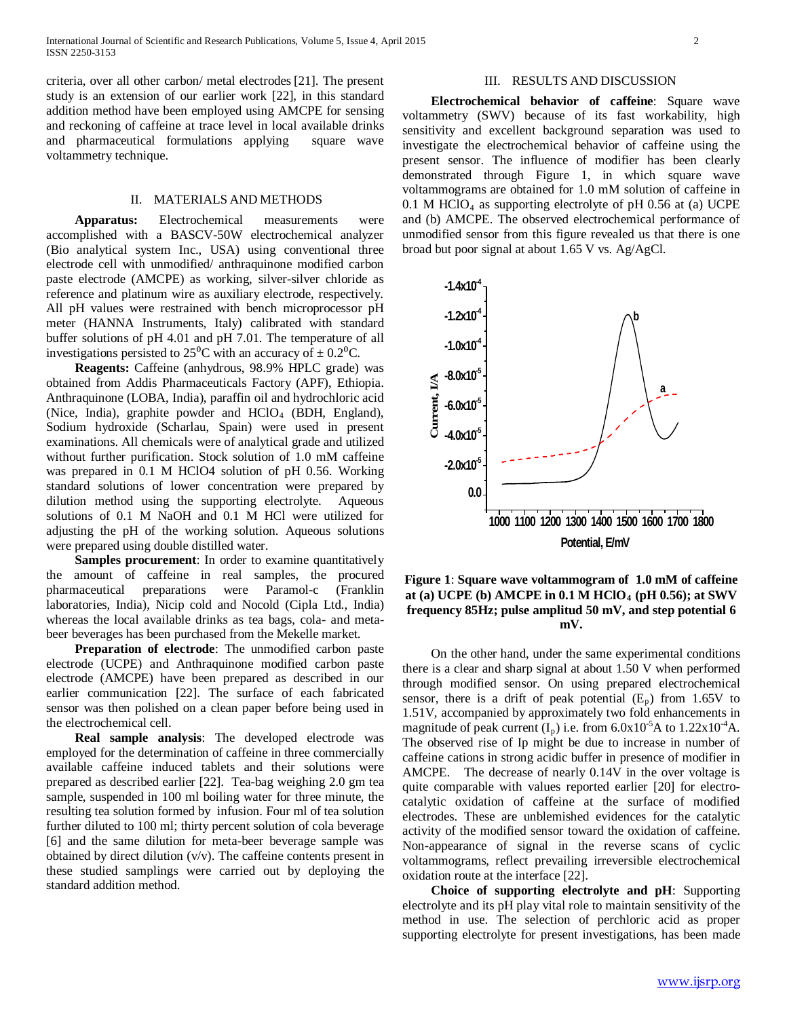criteria, over all other carbon/ metal electrodes [21]. The present study is an extension of our earlier work [22], in this standard addition method have been employed using AMCPE for sensing and reckoning of caffeine at trace level in local available drinks and pharmaceutical formulations applying square wave voltammetry technique.

#### II. MATERIALS AND METHODS

 **Apparatus:** Electrochemical measurements were accomplished with a BASCV-50W electrochemical analyzer (Bio analytical system Inc., USA) using conventional three electrode cell with unmodified/ anthraquinone modified carbon paste electrode (AMCPE) as working, silver-silver chloride as reference and platinum wire as auxiliary electrode, respectively. All pH values were restrained with bench microprocessor pH meter (HANNA Instruments, Italy) calibrated with standard buffer solutions of pH 4.01 and pH 7.01. The temperature of all investigations persisted to  $25^{\circ}$ C with an accuracy of  $\pm 0.2^{\circ}$ C.

 **Reagents:** Caffeine (anhydrous, 98.9% HPLC grade) was obtained from Addis Pharmaceuticals Factory (APF), Ethiopia. Anthraquinone (LOBA, India), paraffin oil and hydrochloric acid (Nice, India), graphite powder and  $HCIO<sub>4</sub>$  (BDH, England), Sodium hydroxide (Scharlau, Spain) were used in present examinations. All chemicals were of analytical grade and utilized without further purification. Stock solution of 1.0 mM caffeine was prepared in 0.1 M HClO4 solution of pH 0.56. Working standard solutions of lower concentration were prepared by dilution method using the supporting electrolyte. Aqueous solutions of 0.1 M NaOH and 0.1 M HCl were utilized for adjusting the pH of the working solution. Aqueous solutions were prepared using double distilled water.

**Samples procurement**: In order to examine quantitatively the amount of caffeine in real samples, the procured pharmaceutical preparations were Paramol-c (Franklin laboratories, India), Nicip cold and Nocold (Cipla Ltd., India) whereas the local available drinks as tea bags, cola- and metabeer beverages has been purchased from the Mekelle market.

 **Preparation of electrode**: The unmodified carbon paste electrode (UCPE) and Anthraquinone modified carbon paste electrode (AMCPE) have been prepared as described in our earlier communication [22]. The surface of each fabricated sensor was then polished on a clean paper before being used in the electrochemical cell.

 **Real sample analysis**: The developed electrode was employed for the determination of caffeine in three commercially available caffeine induced tablets and their solutions were prepared as described earlier [22]. Tea-bag weighing 2.0 gm tea sample, suspended in 100 ml boiling water for three minute, the resulting tea solution formed by infusion. Four ml of tea solution further diluted to 100 ml; thirty percent solution of cola beverage [6] and the same dilution for meta-beer beverage sample was obtained by direct dilution (v/v). The caffeine contents present in these studied samplings were carried out by deploying the standard addition method.

#### III. RESULTS AND DISCUSSION

 **Electrochemical behavior of caffeine**: Square wave voltammetry (SWV) because of its fast workability, high sensitivity and excellent background separation was used to investigate the electrochemical behavior of caffeine using the present sensor. The influence of modifier has been clearly demonstrated through Figure 1, in which square wave voltammograms are obtained for 1.0 mM solution of caffeine in  $0.1$  M HClO<sub>4</sub> as supporting electrolyte of pH 0.56 at (a) UCPE and (b) AMCPE. The observed electrochemical performance of unmodified sensor from this figure revealed us that there is one broad but poor signal at about 1.65 V vs. Ag/AgCl.



# **Figure 1**: **Square wave voltammogram of 1.0 mM of caffeine at (a) UCPE (b) AMCPE in 0.1 M HClO4 (pH 0.56); at SWV frequency 85Hz; pulse amplitud 50 mV, and step potential 6 mV.**

 On the other hand, under the same experimental conditions there is a clear and sharp signal at about 1.50 V when performed through modified sensor. On using prepared electrochemical sensor, there is a drift of peak potential  $(E_p)$  from 1.65V to 1.51V, accompanied by approximately two fold enhancements in magnitude of peak current  $(I_p)$  i.e. from 6.0x10<sup>-5</sup>A to 1.22x10<sup>-4</sup>A. The observed rise of Ip might be due to increase in number of caffeine cations in strong acidic buffer in presence of modifier in AMCPE. The decrease of nearly 0.14V in the over voltage is quite comparable with values reported earlier [20] for electrocatalytic oxidation of caffeine at the surface of modified electrodes. These are unblemished evidences for the catalytic activity of the modified sensor toward the oxidation of caffeine. Non-appearance of signal in the reverse scans of cyclic voltammograms, reflect prevailing irreversible electrochemical oxidation route at the interface [22].

 **Choice of supporting electrolyte and pH**: Supporting electrolyte and its pH play vital role to maintain sensitivity of the method in use. The selection of perchloric acid as proper supporting electrolyte for present investigations, has been made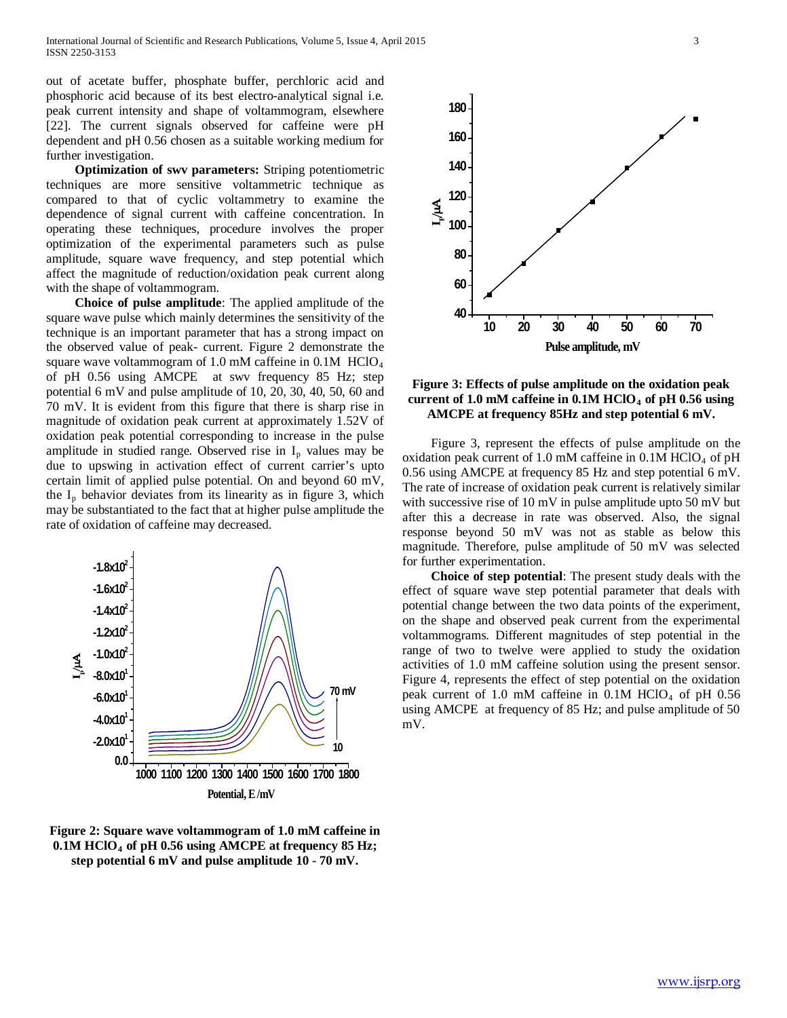out of acetate buffer, phosphate buffer, perchloric acid and phosphoric acid because of its best electro-analytical signal i.e. peak current intensity and shape of voltammogram, elsewhere [22]. The current signals observed for caffeine were pH dependent and pH 0.56 chosen as a suitable working medium for further investigation.

 **Optimization of swv parameters:** Striping potentiometric techniques are more sensitive voltammetric technique as compared to that of cyclic voltammetry to examine the dependence of signal current with caffeine concentration. In operating these techniques, procedure involves the proper optimization of the experimental parameters such as pulse amplitude, square wave frequency, and step potential which affect the magnitude of reduction/oxidation peak current along with the shape of voltammogram.

 **Choice of pulse amplitude**: The applied amplitude of the square wave pulse which mainly determines the sensitivity of the technique is an important parameter that has a strong impact on the observed value of peak- current. Figure 2 demonstrate the square wave voltammogram of 1.0 mM caffeine in  $0.1M$  HClO<sub>4</sub> of pH 0.56 using AMCPE at swv frequency 85 Hz; step potential 6 mV and pulse amplitude of 10, 20, 30, 40, 50, 60 and 70 mV. It is evident from this figure that there is sharp rise in magnitude of oxidation peak current at approximately 1.52V of oxidation peak potential corresponding to increase in the pulse amplitude in studied range. Observed rise in  $I_p$  values may be due to upswing in activation effect of current carrier's upto certain limit of applied pulse potential. On and beyond 60 mV, the  $I_p$  behavior deviates from its linearity as in figure 3, which may be substantiated to the fact that at higher pulse amplitude the rate of oxidation of caffeine may decreased.



**Figure 2: Square wave voltammogram of 1.0 mM caffeine in 0.1M HClO4 of pH 0.56 using AMCPE at frequency 85 Hz; step potential 6 mV and pulse amplitude 10 - 70 mV.**



# **Figure 3: Effects of pulse amplitude on the oxidation peak**  current of 1.0 mM caffeine in  $0.1M$  HClO<sub>4</sub> of pH  $0.56$  using **AMCPE at frequency 85Hz and step potential 6 mV.**

 Figure 3, represent the effects of pulse amplitude on the oxidation peak current of 1.0 mM caffeine in  $0.1M$  HClO<sub>4</sub> of pH 0.56 using AMCPE at frequency 85 Hz and step potential 6 mV. The rate of increase of oxidation peak current is relatively similar with successive rise of 10 mV in pulse amplitude upto 50 mV but after this a decrease in rate was observed. Also, the signal response beyond 50 mV was not as stable as below this magnitude. Therefore, pulse amplitude of 50 mV was selected for further experimentation.

 **Choice of step potential**: The present study deals with the effect of square wave step potential parameter that deals with potential change between the two data points of the experiment, on the shape and observed peak current from the experimental voltammograms. Different magnitudes of step potential in the range of two to twelve were applied to study the oxidation activities of 1.0 mM caffeine solution using the present sensor. Figure 4, represents the effect of step potential on the oxidation peak current of 1.0 mM caffeine in  $0.1M$  HClO<sub>4</sub> of pH  $0.56$ using AMCPE at frequency of 85 Hz; and pulse amplitude of 50 mV.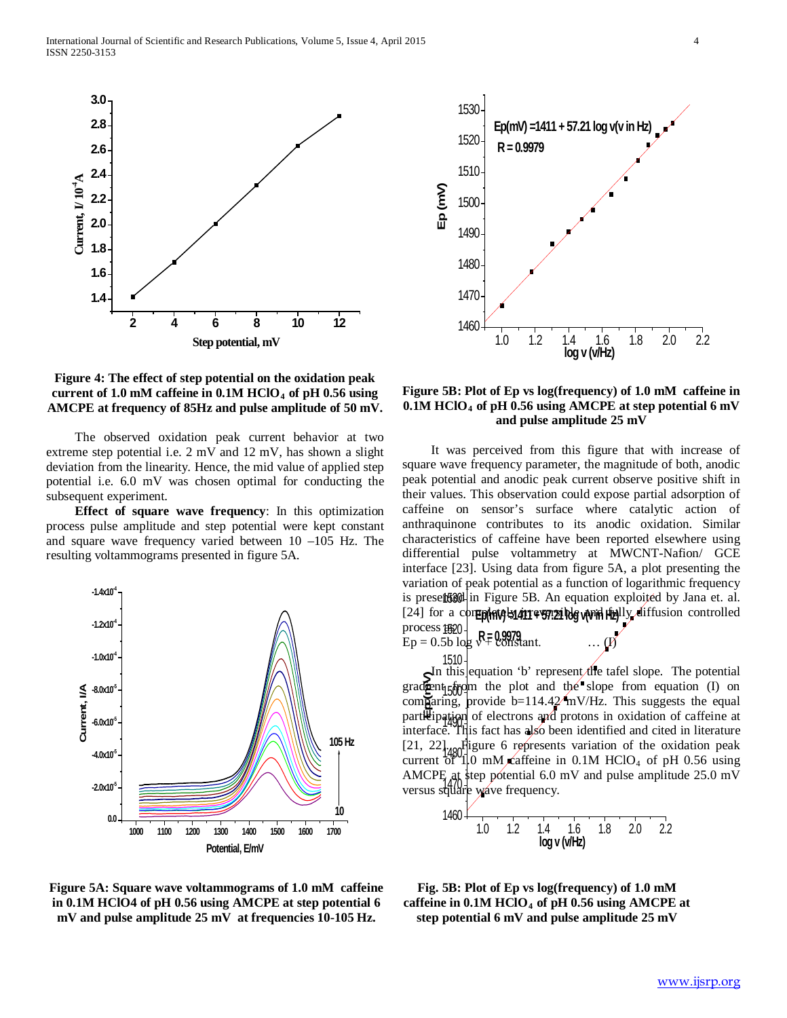

## **Figure 4: The effect of step potential on the oxidation peak**  current of 1.0 mM caffeine in  $0.1M$  HClO<sub>4</sub> of pH  $0.56$  using **AMCPE at frequency of 85Hz and pulse amplitude of 50 mV.**

 The observed oxidation peak current behavior at two extreme step potential i.e. 2 mV and 12 mV, has shown a slight deviation from the linearity. Hence, the mid value of applied step potential i.e. 6.0 mV was chosen optimal for conducting the subsequent experiment.

 **Effect of square wave frequency**: In this optimization process pulse amplitude and step potential were kept constant and square wave frequency varied between 10 –105 Hz. The resulting voltammograms presented in figure 5A.







**Figure 5B: Plot of Ep vs log(frequency) of 1.0 mM caffeine in 0.1M HClO4 of pH 0.56 using AMCPE at step potential 6 mV and pulse amplitude 25 mV**

process \$520 is presett5301 in Figure 5B. An equation exploited by Jana et. al.  $Ep = 0.5b \log V = 0.9979$  ... (*I*) **Equal for a coneplate in 411 + 57.21 log with Highly diffusion controlled**  It was perceived from this figure that with increase of square wave frequency parameter, the magnitude of both, anodic peak potential and anodic peak current observe positive shift in their values. This observation could expose partial adsorption of caffeine on sensor's surface where catalytic action of anthraquinone contributes to its anodic oxidation. Similar characteristics of caffeine have been reported elsewhere using differential pulse voltammetry at MWCNT-Nafion/ GCE interface [23]. Using data from figure 5A, a plot presenting the variation of peak potential as a function of logarithmic frequency

versus square wave frequency. current of  $1480$ <sub>10</sub> mM caffeine in 0.1M HClO<sub>4</sub> of pH 0.56 using interface. This fact has also been identified and cited in literature gradient  $f_5$  from the plot and the slope from equation (I) on 1510 **Example 12**<br>
gradent<sub>15</sub> from the plot and the slope from equation (I) on<br>
comparing, provide b=114.42 mV/Hz. This suggests the equal<br>
partition of electrons and protons in oxidation of caffeine at In this equation 'b' represent the tafel slope. The potential partleipation of electrons and protons in oxidation of caffeine at  $[21, 22]$ <sub>1480</sub> Figure 6 represents variation of the oxidation peak AMCPE at step potential 6.0 mV and pulse amplitude 25.0 mV

$$
\begin{array}{c|ccccc}\n1460 & 1.0 & 1.2 & 1.4 & 1.6 & 1.8 & 2.0 & 2.2 \\
\hline\n& 1.0 & 1.2 & 1.4 & 1.6 & 1.8 & 2.0 & 2.2\n\end{array}
$$

**Fig. 5B: Plot of Ep vs log(frequency) of 1.0 mM caffeine in 0.1M HClO4 of pH 0.56 using AMCPE at step potential 6 mV and pulse amplitude 25 mV**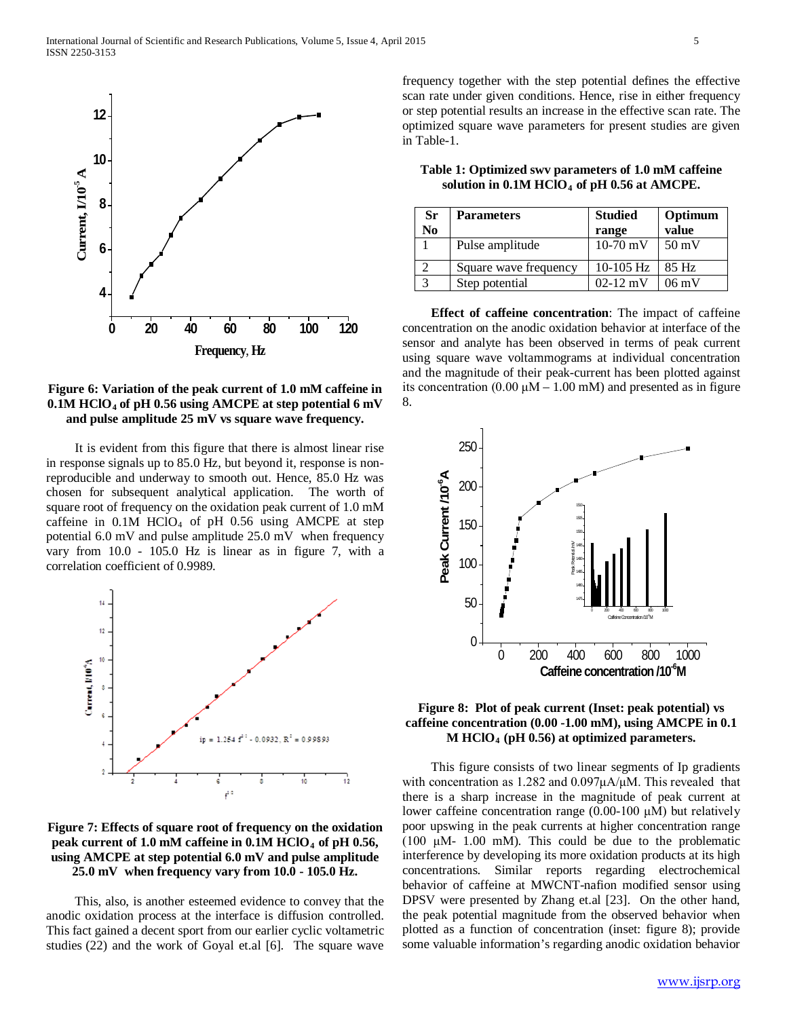

# **Figure 6: Variation of the peak current of 1.0 mM caffeine in 0.1M HClO4 of pH 0.56 using AMCPE at step potential 6 mV and pulse amplitude 25 mV vs square wave frequency.**

 It is evident from this figure that there is almost linear rise in response signals up to 85.0 Hz, but beyond it, response is nonreproducible and underway to smooth out. Hence, 85.0 Hz was chosen for subsequent analytical application. The worth of square root of frequency on the oxidation peak current of 1.0 mM caffeine in  $0.1M$  HClO<sub>4</sub> of pH 0.56 using AMCPE at step potential 6.0 mV and pulse amplitude 25.0 mV when frequency vary from 10.0 - 105.0 Hz is linear as in figure 7, with a correlation coefficient of 0.9989.



# **Figure 7: Effects of square root of frequency on the oxidation peak current of 1.0 mM caffeine in 0.1M HClO4 of pH 0.56, using AMCPE at step potential 6.0 mV and pulse amplitude 25.0 mV when frequency vary from 10.0 - 105.0 Hz.**

 This, also, is another esteemed evidence to convey that the anodic oxidation process at the interface is diffusion controlled. This fact gained a decent sport from our earlier cyclic voltametric studies (22) and the work of Goyal et.al [6]. The square wave

frequency together with the step potential defines the effective scan rate under given conditions. Hence, rise in either frequency or step potential results an increase in the effective scan rate. The optimized square wave parameters for present studies are given in Table-1.

| Sr | <b>Parameters</b>     | <b>Studied</b> | Optimum         |  |
|----|-----------------------|----------------|-----------------|--|
| No |                       | range          | value           |  |
|    | Pulse amplitude       | $10-70$ mV     | $50 \text{ mV}$ |  |
| ി  | Square wave frequency | $10-105$ Hz    | 85 Hz           |  |
| 3  | Step potential        | $02 - 12$ mV   | $06 \text{ mV}$ |  |

**Table 1: Optimized swv parameters of 1.0 mM caffeine solution in 0.1M HClO4 of pH 0.56 at AMCPE.**

 **Effect of caffeine concentration**: The impact of caffeine concentration on the anodic oxidation behavior at interface of the sensor and analyte has been observed in terms of peak current using square wave voltammograms at individual concentration and the magnitude of their peak-current has been plotted against its concentration  $(0.00 \mu M - 1.00 \mu M)$  and presented as in figure 8.



## **Figure 8: Plot of peak current (Inset: peak potential) vs caffeine concentration (0.00 -1.00 mM), using AMCPE in 0.1 M HClO4 (pH 0.56) at optimized parameters.**

 This figure consists of two linear segments of Ip gradients with concentration as 1.282 and 0.097μA/μM. This revealed that there is a sharp increase in the magnitude of peak current at lower caffeine concentration range (0.00-100 μM) but relatively poor upswing in the peak currents at higher concentration range (100  $\mu$ M- 1.00 mM). This could be due to the problematic interference by developing its more oxidation products at its high concentrations. Similar reports regarding electrochemical behavior of caffeine at MWCNT-nafion modified sensor using DPSV were presented by Zhang et.al [23]. On the other hand, the peak potential magnitude from the observed behavior when plotted as a function of concentration (inset: figure 8); provide some valuable information's regarding anodic oxidation behavior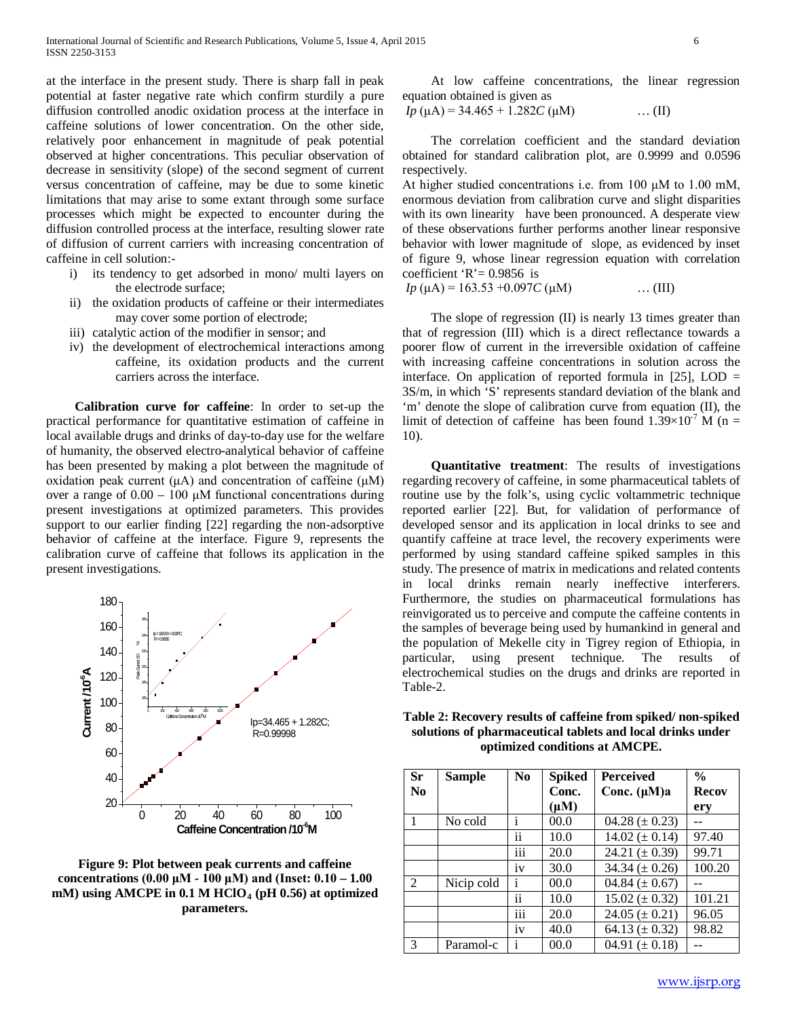at the interface in the present study. There is sharp fall in peak potential at faster negative rate which confirm sturdily a pure diffusion controlled anodic oxidation process at the interface in caffeine solutions of lower concentration. On the other side, relatively poor enhancement in magnitude of peak potential observed at higher concentrations. This peculiar observation of decrease in sensitivity (slope) of the second segment of current versus concentration of caffeine, may be due to some kinetic limitations that may arise to some extant through some surface processes which might be expected to encounter during the diffusion controlled process at the interface, resulting slower rate of diffusion of current carriers with increasing concentration of caffeine in cell solution:-

- i) its tendency to get adsorbed in mono/ multi layers on the electrode surface;
- ii) the oxidation products of caffeine or their intermediates may cover some portion of electrode;
- iii) catalytic action of the modifier in sensor; and
- iv) the development of electrochemical interactions among caffeine, its oxidation products and the current carriers across the interface.

 **Calibration curve for caffeine**: In order to set-up the practical performance for quantitative estimation of caffeine in local available drugs and drinks of day-to-day use for the welfare of humanity, the observed electro-analytical behavior of caffeine has been presented by making a plot between the magnitude of oxidation peak current (μA) and concentration of caffeine (μM) over a range of 0.00 – 100 μM functional concentrations during present investigations at optimized parameters. This provides support to our earlier finding [22] regarding the non-adsorptive behavior of caffeine at the interface. Figure 9, represents the calibration curve of caffeine that follows its application in the present investigations.



**Figure 9: Plot between peak currents and caffeine concentrations (0.00 μM - 100 μM) and (Inset: 0.10 – 1.00 mM) using AMCPE in 0.1 M HClO4 (pH 0.56) at optimized parameters.**

 At low caffeine concentrations, the linear regression equation obtained is given as

$$
Ip (\mu A) = 34.465 + 1.282C (\mu M) \qquad \qquad \dots (II)
$$

 The correlation coefficient and the standard deviation obtained for standard calibration plot, are 0.9999 and 0.0596 respectively.

At higher studied concentrations i.e. from 100 μM to 1.00 mM, enormous deviation from calibration curve and slight disparities with its own linearity have been pronounced. A desperate view of these observations further performs another linear responsive behavior with lower magnitude of slope, as evidenced by inset of figure 9, whose linear regression equation with correlation coefficient 'R' =  $0.9856$  is

 $Ip \ (\mu A) = 163.53 + 0.097C \ (\mu M)$  … (III)

 The slope of regression (II) is nearly 13 times greater than that of regression (III) which is a direct reflectance towards a poorer flow of current in the irreversible oxidation of caffeine with increasing caffeine concentrations in solution across the interface. On application of reported formula in  $[25]$ , LOD = 3S/m, in which 'S' represents standard deviation of the blank and 'm' denote the slope of calibration curve from equation (II), the limit of detection of caffeine has been found  $1.39\times10^{-7}$  M (n = 10).

 **Quantitative treatment**: The results of investigations regarding recovery of caffeine, in some pharmaceutical tablets of routine use by the folk's, using cyclic voltammetric technique reported earlier [22]. But, for validation of performance of developed sensor and its application in local drinks to see and quantify caffeine at trace level, the recovery experiments were performed by using standard caffeine spiked samples in this study. The presence of matrix in medications and related contents in local drinks remain nearly ineffective interferers. Furthermore, the studies on pharmaceutical formulations has reinvigorated us to perceive and compute the caffeine contents in the samples of beverage being used by humankind in general and the population of Mekelle city in Tigrey region of Ethiopia, in particular, using present technique. The results of electrochemical studies on the drugs and drinks are reported in Table-2.

| <b>Sr</b><br>No | <b>Sample</b> | N <sub>0</sub>   | <b>Spiked</b><br>Conc.<br>$(\mu M)$ | <b>Perceived</b><br>Conc. $(\mu M)a$ | $\frac{0}{0}$<br><b>Recov</b><br>ery |
|-----------------|---------------|------------------|-------------------------------------|--------------------------------------|--------------------------------------|
| 1               | No cold       | 1                | 00.0                                | 04.28 ( $\pm$ 0.23)                  |                                      |
|                 |               | . .<br>ÎÎ.       | 10.0                                | $14.02 (\pm 0.14)$                   | 97.40                                |
|                 |               | $\overline{iii}$ | 20.0                                | 24.21 ( $\pm$ 0.39)                  | 99.71                                |
|                 |               | iv               | 30.0                                | 34.34 $(\pm 0.26)$                   | 100.20                               |
| 2               | Nicip cold    | Ť                | 00.0                                | 04.84 ( $\pm$ 0.67)                  |                                      |
|                 |               | . .<br>ÎÎ.       | 10.0                                | $15.02 (\pm 0.32)$                   | 101.21                               |
|                 |               | .<br>111         | 20.0                                | 24.05 ( $\pm$ 0.21)                  | 96.05                                |
|                 |               | 1V               | 40.0                                | 64.13 ( $\pm$ 0.32)                  | 98.82                                |
| 3               | Paramol-c     | 1                | 00.0                                | 04.91 $(\pm 0.18)$                   |                                      |

**Table 2: Recovery results of caffeine from spiked/ non-spiked solutions of pharmaceutical tablets and local drinks under optimized conditions at AMCPE.**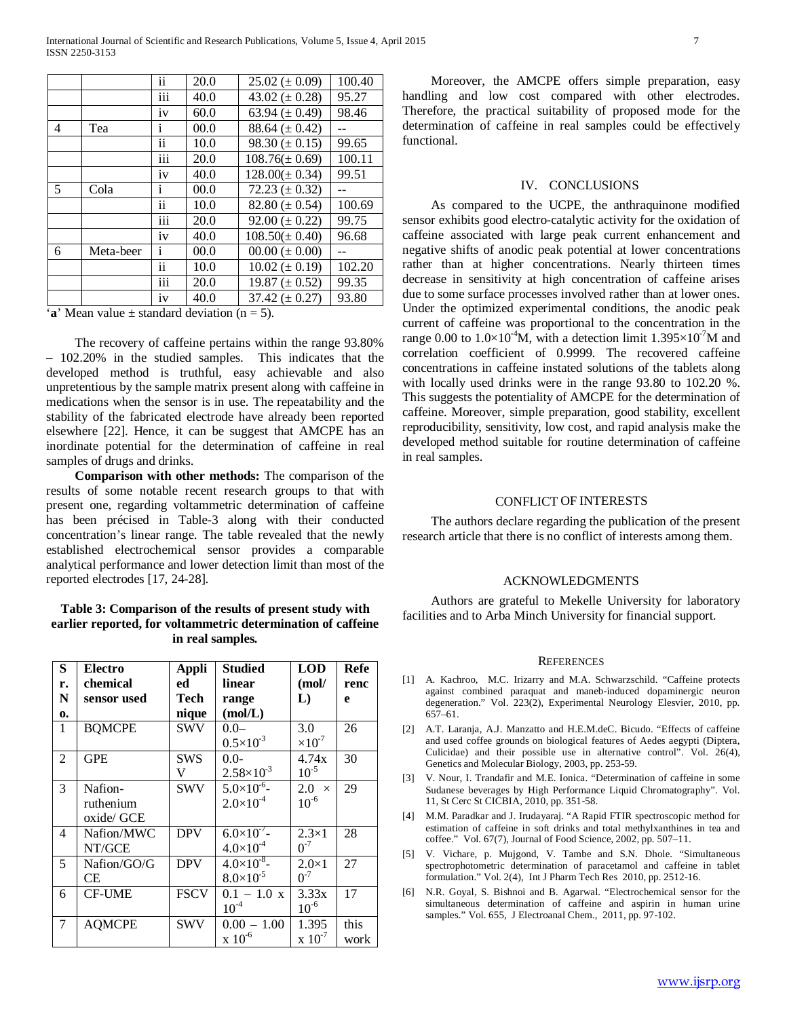International Journal of Scientific and Research Publications, Volume 5, Issue 4, April 2015 7 ISSN 2250-3153

|   |           | . .<br>ÎÎ.       | 20.0 | $25.02 (\pm 0.09)$   | 100.40 |
|---|-----------|------------------|------|----------------------|--------|
|   |           | .<br>111         | 40.0 | 43.02 ( $\pm$ 0.28)  | 95.27  |
|   |           | 1V               | 60.0 | 63.94 ( $\pm$ 0.49)  | 98.46  |
| 4 | Tea       | Ť                | 00.0 | 88.64 ( $\pm$ 0.42)  |        |
|   |           | ii               | 10.0 | $98.30 \ (\pm 0.15)$ | 99.65  |
|   |           | iii              | 20.0 | $108.76(\pm 0.69)$   | 100.11 |
|   |           | iv               | 40.0 | $128.00(\pm 0.34)$   | 99.51  |
| 5 | Cola      | $\mathbf{i}$     | 00.0 | 72.23 ( $\pm$ 0.32)  |        |
|   |           | ii               | 10.0 | 82.80 ( $\pm$ 0.54)  | 100.69 |
|   |           | $\overline{iii}$ | 20.0 | $92.00 (\pm 0.22)$   | 99.75  |
|   |           | iv               | 40.0 | $108.50(\pm 0.40)$   | 96.68  |
| 6 | Meta-beer | $\mathbf{i}$     | 00.0 | $00.00 (\pm 0.00)$   |        |
|   |           | ii               | 10.0 | $10.02 (\pm 0.19)$   | 102.20 |
|   |           | .<br>111         | 20.0 | 19.87 $(\pm 0.52)$   | 99.35  |
|   |           | 1V               | 40.0 | 37.42 $(\pm 0.27)$   | 93.80  |

 $\mathbf{a}'$  Mean value  $\pm$  standard deviation (n = 5).

 The recovery of caffeine pertains within the range 93.80% – 102.20% in the studied samples. This indicates that the developed method is truthful, easy achievable and also unpretentious by the sample matrix present along with caffeine in medications when the sensor is in use. The repeatability and the stability of the fabricated electrode have already been reported elsewhere [22]. Hence, it can be suggest that AMCPE has an inordinate potential for the determination of caffeine in real samples of drugs and drinks.

 **Comparison with other methods:** The comparison of the results of some notable recent research groups to that with present one, regarding voltammetric determination of caffeine has been précised in Table-3 along with their conducted concentration's linear range. The table revealed that the newly established electrochemical sensor provides a comparable analytical performance and lower detection limit than most of the reported electrodes [17, 24-28].

**Table 3: Comparison of the results of present study with earlier reported, for voltammetric determination of caffeine in real samples***.*

| S           | <b>Electro</b> | <b>Appli</b> | <b>Studied</b>        | <b>LOD</b>                    | Refe |
|-------------|----------------|--------------|-----------------------|-------------------------------|------|
| r.          | chemical       | ed           | linear                | (mol/                         | renc |
| $\mathbf N$ | sensor used    | Tech         | range                 | L)                            | e    |
| 0.          |                | nique        | (mol/L)               |                               |      |
| 1           | <b>BQMCPE</b>  | <b>SWV</b>   | $-0.0 -$              | 3.0                           | 26   |
|             |                |              | $0.5 \times 10^{-3}$  | $\times 10^{-7}$              |      |
| 2           | <b>GPE</b>     | SWS          | $0.0 -$               | 4.74x                         | 30   |
|             |                | V            | $2.58 \times 10^{-3}$ | $10^{-5}$                     |      |
| 3           | Nafion-        | SWV          | $5.0\times10^{-6}$    | $2.0 \times$                  | 29   |
|             | ruthenium      |              | $2.0\times10^{-4}$    | $10^{-6}$                     |      |
|             | oxide/ GCE     |              |                       |                               |      |
| 4           | Nafion/MWC     | <b>DPV</b>   | $6.0\times10^{-7}$ -  | $2.3\times1$                  | 28   |
|             | NT/GCE         |              | $4.0\times10^{-4}$    | $0^{-7}$                      |      |
| 5           | Nafion/GO/G    | <b>DPV</b>   | $4.0\times10^{-8}$    | $2.0\times1$                  | 27   |
|             | CE             |              | $8.0\times10^{-5}$    | $0^{-7}$                      |      |
| 6           | <b>CF-UME</b>  | <b>FSCV</b>  | $0.1 - 1.0 x$         | 3.33x                         | 17   |
|             |                |              | $10^{-4}$             | $10^{-6}$                     |      |
| 7           | <b>AQMCPE</b>  | SWV          | $0.00 - 1.00$         | 1.395                         | this |
|             |                |              | $x\ 10^{-6}$          | $\mathrm{x}$ 10 <sup>-7</sup> | work |

 Moreover, the AMCPE offers simple preparation, easy handling and low cost compared with other electrodes. Therefore, the practical suitability of proposed mode for the determination of caffeine in real samples could be effectively functional.

#### IV. CONCLUSIONS

 As compared to the UCPE, the anthraquinone modified sensor exhibits good electro-catalytic activity for the oxidation of caffeine associated with large peak current enhancement and negative shifts of anodic peak potential at lower concentrations rather than at higher concentrations. Nearly thirteen times decrease in sensitivity at high concentration of caffeine arises due to some surface processes involved rather than at lower ones. Under the optimized experimental conditions, the anodic peak current of caffeine was proportional to the concentration in the range 0.00 to  $1.0 \times 10^{-4}$ M, with a detection limit  $1.395 \times 10^{-7}$ M and correlation coefficient of 0.9999. The recovered caffeine concentrations in caffeine instated solutions of the tablets along with locally used drinks were in the range 93.80 to 102.20 %. This suggests the potentiality of AMCPE for the determination of caffeine. Moreover, simple preparation, good stability, excellent reproducibility, sensitivity, low cost, and rapid analysis make the developed method suitable for routine determination of caffeine in real samples.

#### CONFLICT OF INTERESTS

 The authors declare regarding the publication of the present research article that there is no conflict of interests among them.

#### ACKNOWLEDGMENTS

 Authors are grateful to Mekelle University for laboratory facilities and to Arba Minch University for financial support.

#### **REFERENCES**

- [1] A. Kachroo, M.C. Irizarry and M.A. Schwarzschild. "Caffeine protects against combined paraquat and maneb-induced dopaminergic neuron degeneration." Vol. 223(2), Experimental Neurology Elesvier, 2010, pp.  $657-61$ .
- [2] A.T. Laranja, A.J. Manzatto and H.E.M.deC. Bicudo. "Effects of caffeine and used coffee grounds on biological features of Aedes aegypti (Diptera, Culicidae) and their possible use in alternative control". Vol. 26(4), Genetics and Molecular Biology, 2003, pp. 253-59.
- [3] V. Nour, I. Trandafir and M.E. Ionica. "Determination of caffeine in some Sudanese beverages by High Performance Liquid Chromatography". Vol. 11, St Cerc St CICBIA, 2010, pp. 351-58.
- [4] M.M. Paradkar and J. Irudayaraj. "A Rapid FTIR spectroscopic method for estimation of caffeine in soft drinks and total methylxanthines in tea and coffee." Vol. 67(7), Journal of Food Science, 2002, pp. 507–11.
- [5] V. Vichare, p. Mujgond, V. Tambe and S.N. Dhole. "Simultaneous spectrophotometric determination of paracetamol and caffeine in tablet formulation." Vol. 2(4), Int J Pharm Tech Res 2010, pp. 2512-16.
- [6] N.R. Goyal, S. Bishnoi and B. Agarwal. "Electrochemical sensor for the simultaneous determination of caffeine and aspirin in human urine samples." Vol. 655, J Electroanal Chem., 2011, pp. 97-102.